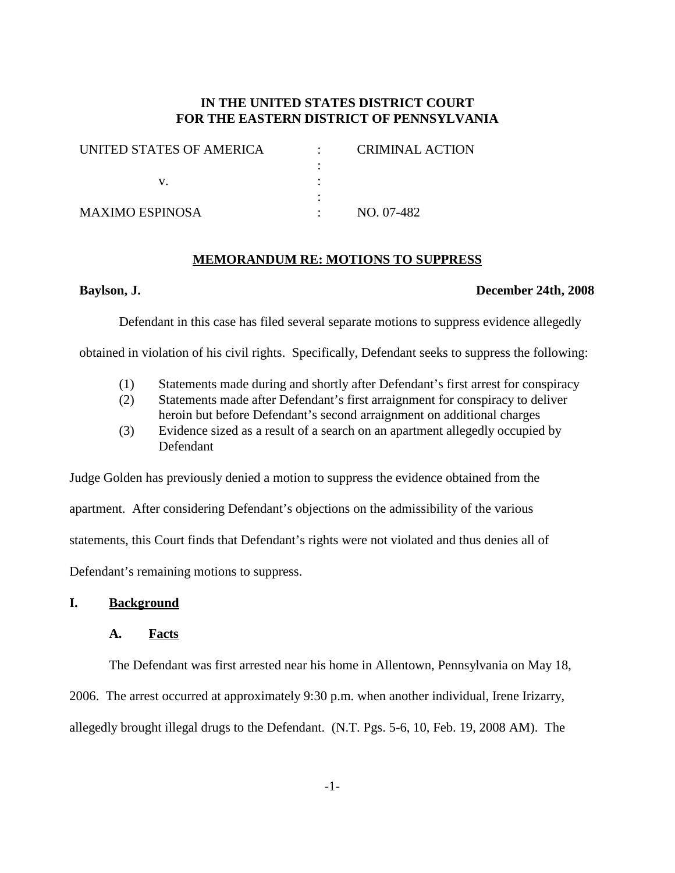# **IN THE UNITED STATES DISTRICT COURT FOR THE EASTERN DISTRICT OF PENNSYLVANIA**

| UNITED STATES OF AMERICA | <b>CRIMINAL ACTION</b> |
|--------------------------|------------------------|
|                          |                        |
|                          |                        |
|                          |                        |
| <b>MAXIMO ESPINOSA</b>   | NO. 07-482             |

#### **MEMORANDUM RE: MOTIONS TO SUPPRESS**

#### **Baylson, J. December 24th, 2008**

Defendant in this case has filed several separate motions to suppress evidence allegedly

obtained in violation of his civil rights. Specifically, Defendant seeks to suppress the following:

- (1) Statements made during and shortly after Defendant's first arrest for conspiracy
- (2) Statements made after Defendant's first arraignment for conspiracy to deliver heroin but before Defendant's second arraignment on additional charges
- (3) Evidence sized as a result of a search on an apartment allegedly occupied by Defendant

Judge Golden has previously denied a motion to suppress the evidence obtained from the apartment. After considering Defendant's objections on the admissibility of the various statements, this Court finds that Defendant's rights were not violated and thus denies all of Defendant's remaining motions to suppress.

## **I. Background**

#### **A. Facts**

The Defendant was first arrested near his home in Allentown, Pennsylvania on May 18, 2006. The arrest occurred at approximately 9:30 p.m. when another individual, Irene Irizarry, allegedly brought illegal drugs to the Defendant. (N.T. Pgs. 5-6, 10, Feb. 19, 2008 AM). The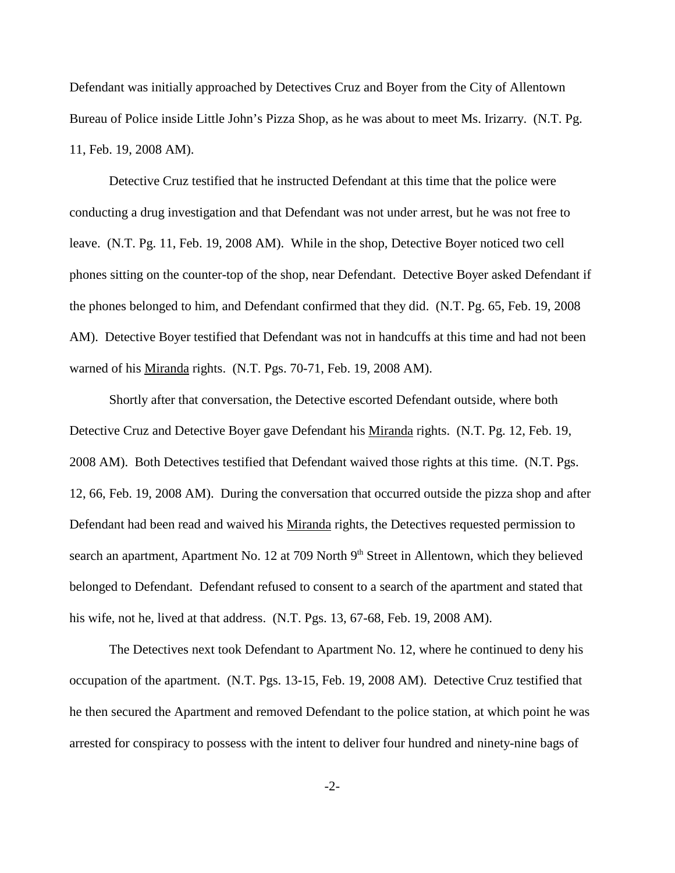Defendant was initially approached by Detectives Cruz and Boyer from the City of Allentown Bureau of Police inside Little John's Pizza Shop, as he was about to meet Ms. Irizarry. (N.T. Pg. 11, Feb. 19, 2008 AM).

Detective Cruz testified that he instructed Defendant at this time that the police were conducting a drug investigation and that Defendant was not under arrest, but he was not free to leave. (N.T. Pg. 11, Feb. 19, 2008 AM). While in the shop, Detective Boyer noticed two cell phones sitting on the counter-top of the shop, near Defendant. Detective Boyer asked Defendant if the phones belonged to him, and Defendant confirmed that they did. (N.T. Pg. 65, Feb. 19, 2008 AM). Detective Boyer testified that Defendant was not in handcuffs at this time and had not been warned of his Miranda rights. (N.T. Pgs. 70-71, Feb. 19, 2008 AM).

Shortly after that conversation, the Detective escorted Defendant outside, where both Detective Cruz and Detective Boyer gave Defendant his Miranda rights. (N.T. Pg. 12, Feb. 19, 2008 AM). Both Detectives testified that Defendant waived those rights at this time. (N.T. Pgs. 12, 66, Feb. 19, 2008 AM). During the conversation that occurred outside the pizza shop and after Defendant had been read and waived his Miranda rights, the Detectives requested permission to search an apartment, Apartment No. 12 at 709 North 9<sup>th</sup> Street in Allentown, which they believed belonged to Defendant. Defendant refused to consent to a search of the apartment and stated that his wife, not he, lived at that address. (N.T. Pgs. 13, 67-68, Feb. 19, 2008 AM).

The Detectives next took Defendant to Apartment No. 12, where he continued to deny his occupation of the apartment. (N.T. Pgs. 13-15, Feb. 19, 2008 AM). Detective Cruz testified that he then secured the Apartment and removed Defendant to the police station, at which point he was arrested for conspiracy to possess with the intent to deliver four hundred and ninety-nine bags of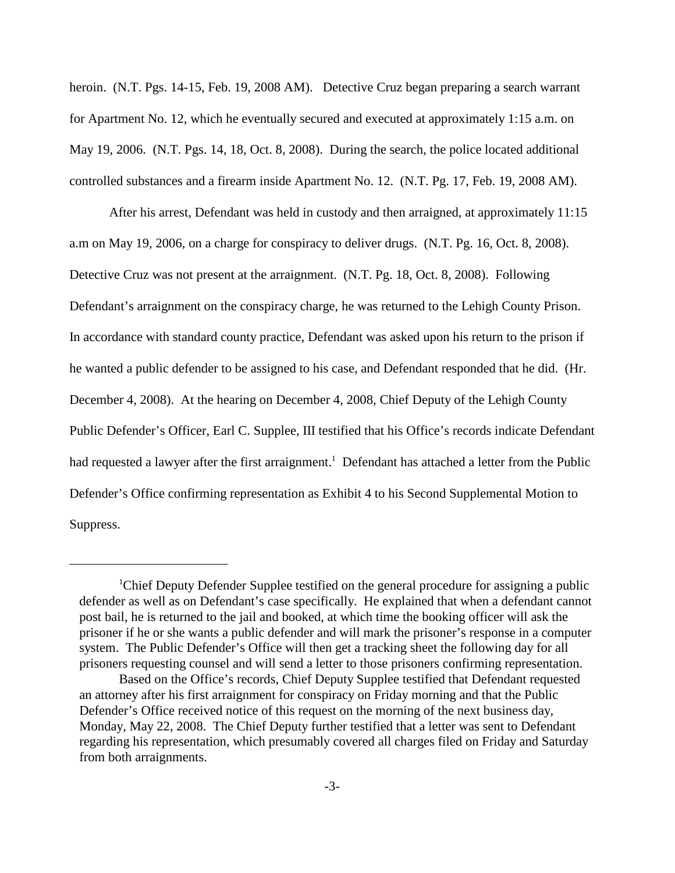heroin. (N.T. Pgs. 14-15, Feb. 19, 2008 AM). Detective Cruz began preparing a search warrant for Apartment No. 12, which he eventually secured and executed at approximately 1:15 a.m. on May 19, 2006. (N.T. Pgs. 14, 18, Oct. 8, 2008). During the search, the police located additional controlled substances and a firearm inside Apartment No. 12. (N.T. Pg. 17, Feb. 19, 2008 AM).

After his arrest, Defendant was held in custody and then arraigned, at approximately 11:15 a.m on May 19, 2006, on a charge for conspiracy to deliver drugs. (N.T. Pg. 16, Oct. 8, 2008). Detective Cruz was not present at the arraignment. (N.T. Pg. 18, Oct. 8, 2008). Following Defendant's arraignment on the conspiracy charge, he was returned to the Lehigh County Prison. In accordance with standard county practice, Defendant was asked upon his return to the prison if he wanted a public defender to be assigned to his case, and Defendant responded that he did. (Hr. December 4, 2008). At the hearing on December 4, 2008, Chief Deputy of the Lehigh County Public Defender's Officer, Earl C. Supplee, III testified that his Office's records indicate Defendant had requested a lawyer after the first arraignment.<sup>1</sup> Defendant has attached a letter from the Public Defender's Office confirming representation as Exhibit 4 to his Second Supplemental Motion to Suppress.

<sup>&</sup>lt;sup>1</sup>Chief Deputy Defender Supplee testified on the general procedure for assigning a public defender as well as on Defendant's case specifically. He explained that when a defendant cannot post bail, he is returned to the jail and booked, at which time the booking officer will ask the prisoner if he or she wants a public defender and will mark the prisoner's response in a computer system. The Public Defender's Office will then get a tracking sheet the following day for all prisoners requesting counsel and will send a letter to those prisoners confirming representation.

Based on the Office's records, Chief Deputy Supplee testified that Defendant requested an attorney after his first arraignment for conspiracy on Friday morning and that the Public Defender's Office received notice of this request on the morning of the next business day, Monday, May 22, 2008. The Chief Deputy further testified that a letter was sent to Defendant regarding his representation, which presumably covered all charges filed on Friday and Saturday from both arraignments.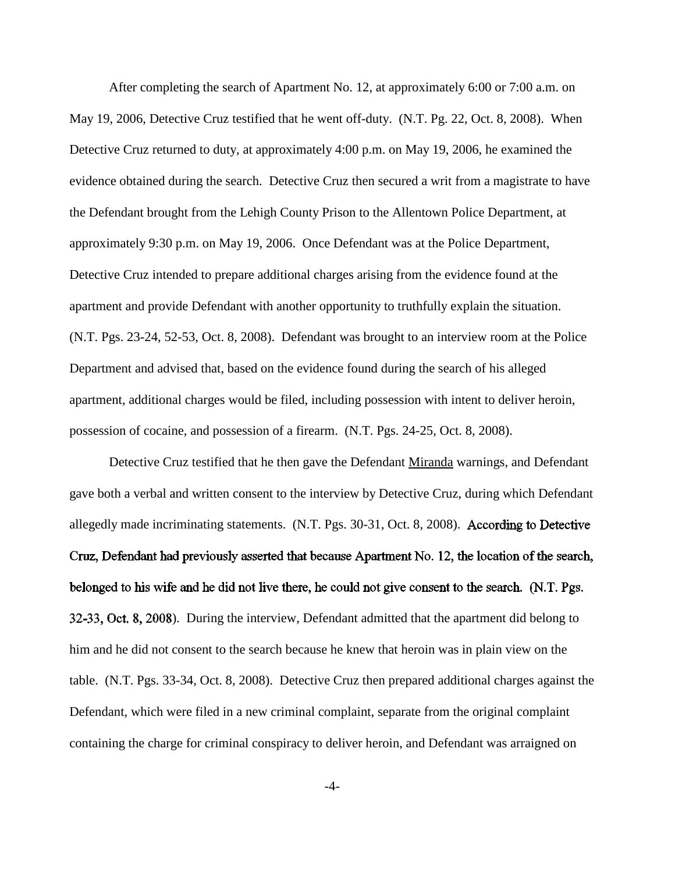After completing the search of Apartment No. 12, at approximately 6:00 or 7:00 a.m. on May 19, 2006, Detective Cruz testified that he went off-duty. (N.T. Pg. 22, Oct. 8, 2008). When Detective Cruz returned to duty, at approximately 4:00 p.m. on May 19, 2006, he examined the evidence obtained during the search. Detective Cruz then secured a writ from a magistrate to have the Defendant brought from the Lehigh County Prison to the Allentown Police Department, at approximately 9:30 p.m. on May 19, 2006. Once Defendant was at the Police Department, Detective Cruz intended to prepare additional charges arising from the evidence found at the apartment and provide Defendant with another opportunity to truthfully explain the situation. (N.T. Pgs. 23-24, 52-53, Oct. 8, 2008). Defendant was brought to an interview room at the Police Department and advised that, based on the evidence found during the search of his alleged apartment, additional charges would be filed, including possession with intent to deliver heroin, possession of cocaine, and possession of a firearm. (N.T. Pgs. 24-25, Oct. 8, 2008).

Detective Cruz testified that he then gave the Defendant Miranda warnings, and Defendant gave both a verbal and written consent to the interview by Detective Cruz, during which Defendant allegedly made incriminating statements. (N.T. Pgs. 30-31, Oct. 8, 2008). According to Detective Cruz, Defendant had previously asserted that because Apartment No. 12, the location of the search, belonged to his wife and he did not live there, he could not give consent to the search. (N.T. Pgs. 32-33, Oct. 8, 2008). During the interview, Defendant admitted that the apartment did belong to him and he did not consent to the search because he knew that heroin was in plain view on the table. (N.T. Pgs. 33-34, Oct. 8, 2008). Detective Cruz then prepared additional charges against the Defendant, which were filed in a new criminal complaint, separate from the original complaint containing the charge for criminal conspiracy to deliver heroin, and Defendant was arraigned on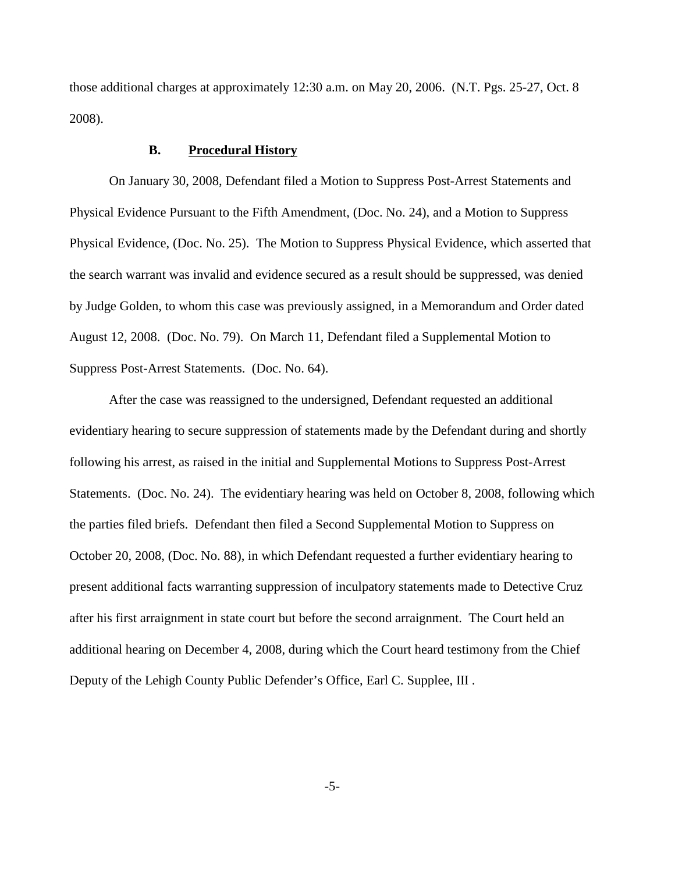those additional charges at approximately 12:30 a.m. on May 20, 2006. (N.T. Pgs. 25-27, Oct. 8 2008).

### **B. Procedural History**

On January 30, 2008, Defendant filed a Motion to Suppress Post-Arrest Statements and Physical Evidence Pursuant to the Fifth Amendment, (Doc. No. 24), and a Motion to Suppress Physical Evidence, (Doc. No. 25). The Motion to Suppress Physical Evidence, which asserted that the search warrant was invalid and evidence secured as a result should be suppressed, was denied by Judge Golden, to whom this case was previously assigned, in a Memorandum and Order dated August 12, 2008. (Doc. No. 79). On March 11, Defendant filed a Supplemental Motion to Suppress Post-Arrest Statements. (Doc. No. 64).

After the case was reassigned to the undersigned, Defendant requested an additional evidentiary hearing to secure suppression of statements made by the Defendant during and shortly following his arrest, as raised in the initial and Supplemental Motions to Suppress Post-Arrest Statements. (Doc. No. 24). The evidentiary hearing was held on October 8, 2008, following which the parties filed briefs. Defendant then filed a Second Supplemental Motion to Suppress on October 20, 2008, (Doc. No. 88), in which Defendant requested a further evidentiary hearing to present additional facts warranting suppression of inculpatory statements made to Detective Cruz after his first arraignment in state court but before the second arraignment. The Court held an additional hearing on December 4, 2008, during which the Court heard testimony from the Chief Deputy of the Lehigh County Public Defender's Office, Earl C. Supplee, III .

-5-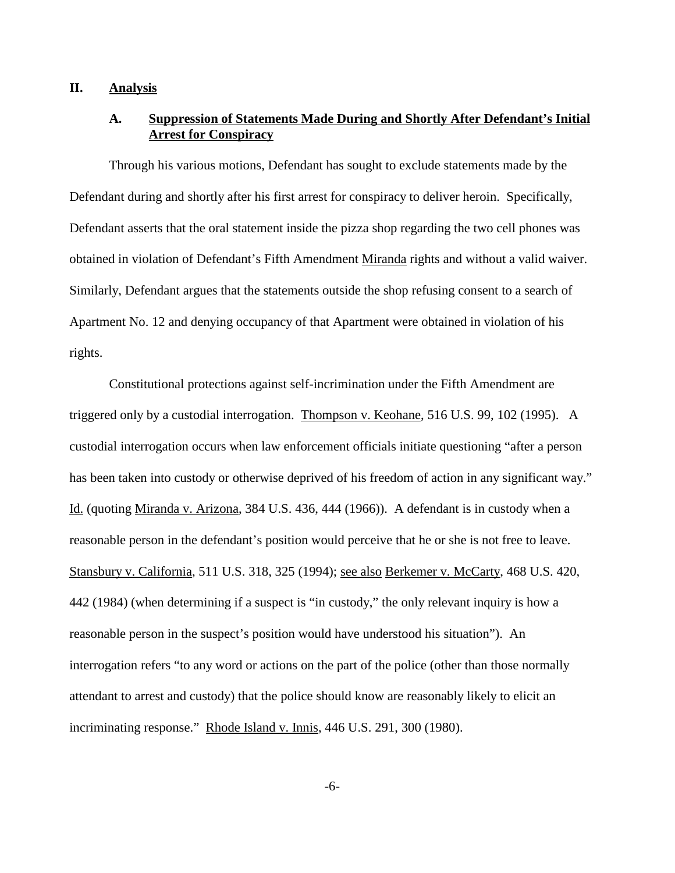## **II. Analysis**

# **A. Suppression of Statements Made During and Shortly After Defendant's Initial Arrest for Conspiracy**

Through his various motions, Defendant has sought to exclude statements made by the Defendant during and shortly after his first arrest for conspiracy to deliver heroin. Specifically, Defendant asserts that the oral statement inside the pizza shop regarding the two cell phones was obtained in violation of Defendant's Fifth Amendment Miranda rights and without a valid waiver. Similarly, Defendant argues that the statements outside the shop refusing consent to a search of Apartment No. 12 and denying occupancy of that Apartment were obtained in violation of his rights.

Constitutional protections against self-incrimination under the Fifth Amendment are triggered only by a custodial interrogation. Thompson v. Keohane, 516 U.S. 99, 102 (1995). A custodial interrogation occurs when law enforcement officials initiate questioning "after a person has been taken into custody or otherwise deprived of his freedom of action in any significant way." Id. (quoting Miranda v. Arizona, 384 U.S. 436, 444 (1966)). A defendant is in custody when a reasonable person in the defendant's position would perceive that he or she is not free to leave. Stansbury v. California, 511 U.S. 318, 325 (1994); <u>see also Berkemer v. McCarty</u>, 468 U.S. 420, 442 (1984) (when determining if a suspect is "in custody," the only relevant inquiry is how a reasonable person in the suspect's position would have understood his situation"). An interrogation refers "to any word or actions on the part of the police (other than those normally attendant to arrest and custody) that the police should know are reasonably likely to elicit an incriminating response." Rhode Island v. Innis, 446 U.S. 291, 300 (1980).

-6-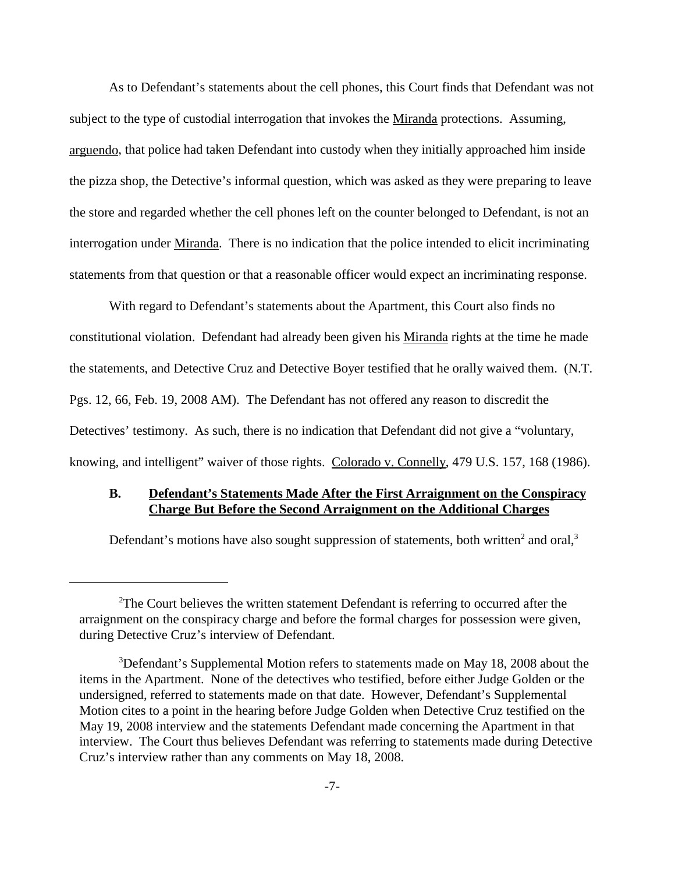As to Defendant's statements about the cell phones, this Court finds that Defendant was not subject to the type of custodial interrogation that invokes the Miranda protections. Assuming, arguendo, that police had taken Defendant into custody when they initially approached him inside the pizza shop, the Detective's informal question, which was asked as they were preparing to leave the store and regarded whether the cell phones left on the counter belonged to Defendant, is not an interrogation under Miranda. There is no indication that the police intended to elicit incriminating statements from that question or that a reasonable officer would expect an incriminating response.

With regard to Defendant's statements about the Apartment, this Court also finds no constitutional violation. Defendant had already been given his Miranda rights at the time he made the statements, and Detective Cruz and Detective Boyer testified that he orally waived them. (N.T. Pgs. 12, 66, Feb. 19, 2008 AM). The Defendant has not offered any reason to discredit the Detectives' testimony. As such, there is no indication that Defendant did not give a "voluntary, knowing, and intelligent" waiver of those rights. Colorado v. Connelly, 479 U.S. 157, 168 (1986).

# **B. Defendant's Statements Made After the First Arraignment on the Conspiracy Charge But Before the Second Arraignment on the Additional Charges**

Defendant's motions have also sought suppression of statements, both written<sup>2</sup> and oral,<sup>3</sup>

 $2$ The Court believes the written statement Defendant is referring to occurred after the arraignment on the conspiracy charge and before the formal charges for possession were given, during Detective Cruz's interview of Defendant.

<sup>&</sup>lt;sup>3</sup>Defendant's Supplemental Motion refers to statements made on May 18, 2008 about the items in the Apartment. None of the detectives who testified, before either Judge Golden or the undersigned, referred to statements made on that date. However, Defendant's Supplemental Motion cites to a point in the hearing before Judge Golden when Detective Cruz testified on the May 19, 2008 interview and the statements Defendant made concerning the Apartment in that interview. The Court thus believes Defendant was referring to statements made during Detective Cruz's interview rather than any comments on May 18, 2008.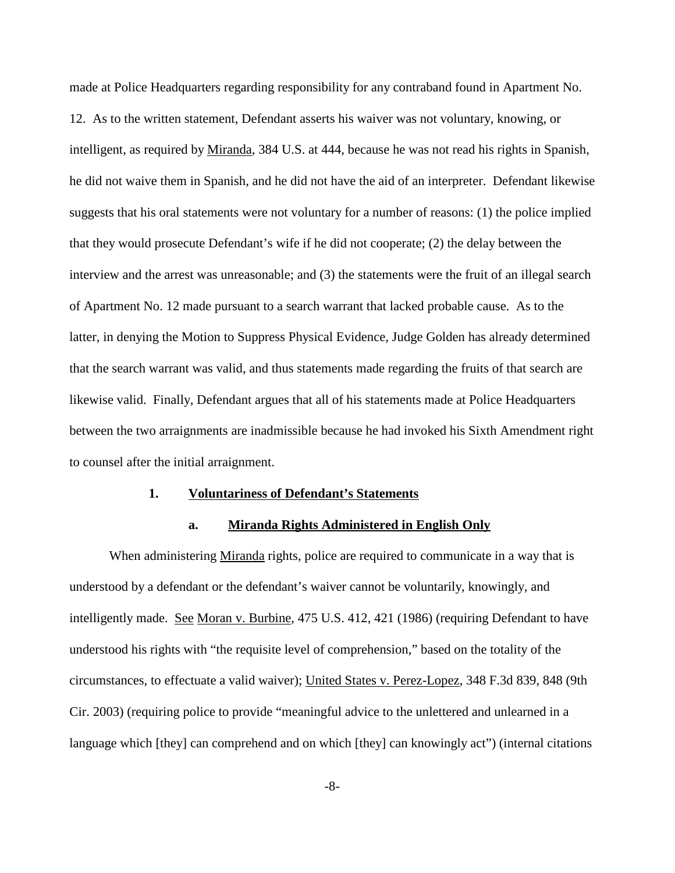made at Police Headquarters regarding responsibility for any contraband found in Apartment No. 12. As to the written statement, Defendant asserts his waiver was not voluntary, knowing, or intelligent, as required by Miranda, 384 U.S. at 444, because he was not read his rights in Spanish, he did not waive them in Spanish, and he did not have the aid of an interpreter. Defendant likewise suggests that his oral statements were not voluntary for a number of reasons: (1) the police implied that they would prosecute Defendant's wife if he did not cooperate; (2) the delay between the interview and the arrest was unreasonable; and (3) the statements were the fruit of an illegal search of Apartment No. 12 made pursuant to a search warrant that lacked probable cause. As to the latter, in denying the Motion to Suppress Physical Evidence, Judge Golden has already determined that the search warrant was valid, and thus statements made regarding the fruits of that search are likewise valid. Finally, Defendant argues that all of his statements made at Police Headquarters between the two arraignments are inadmissible because he had invoked his Sixth Amendment right to counsel after the initial arraignment.

#### **1. Voluntariness of Defendant's Statements**

### **a. Miranda Rights Administered in English Only**

When administering Miranda rights, police are required to communicate in a way that is understood by a defendant or the defendant's waiver cannot be voluntarily, knowingly, and intelligently made. See Moran v. Burbine, 475 U.S. 412, 421 (1986) (requiring Defendant to have understood his rights with "the requisite level of comprehension," based on the totality of the circumstances, to effectuate a valid waiver); United States v. Perez-Lopez, 348 F.3d 839, 848 (9th Cir. 2003) (requiring police to provide "meaningful advice to the unlettered and unlearned in a language which [they] can comprehend and on which [they] can knowingly act") (internal citations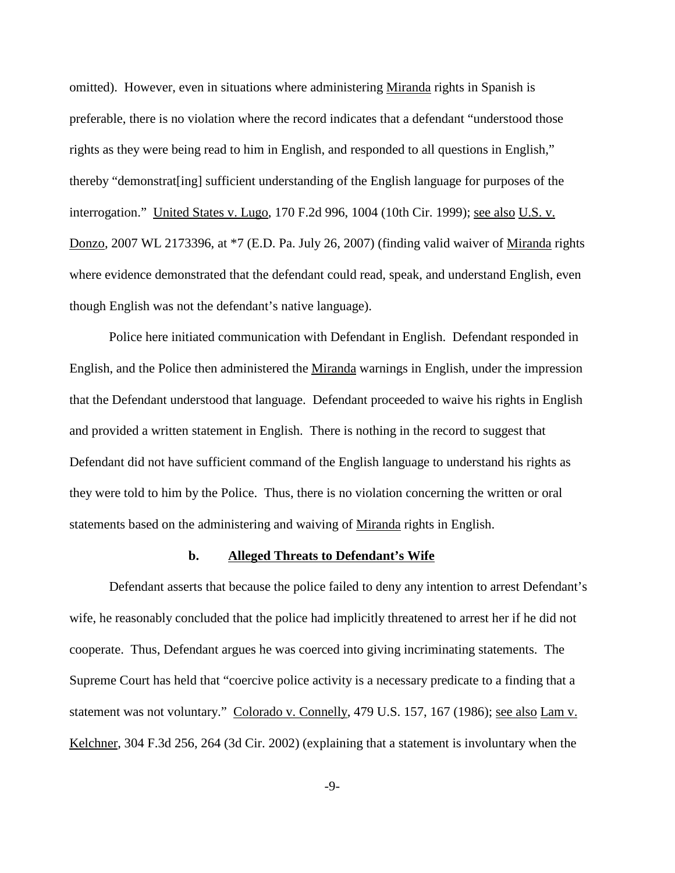omitted). However, even in situations where administering Miranda rights in Spanish is preferable, there is no violation where the record indicates that a defendant "understood those rights as they were being read to him in English, and responded to all questions in English," thereby "demonstrat[ing] sufficient understanding of the English language for purposes of the interrogation." United States v. Lugo, 170 F.2d 996, 1004 (10th Cir. 1999); <u>see also U.S. v.</u> Donzo, 2007 WL 2173396, at \*7 (E.D. Pa. July 26, 2007) (finding valid waiver of Miranda rights where evidence demonstrated that the defendant could read, speak, and understand English, even though English was not the defendant's native language).

Police here initiated communication with Defendant in English. Defendant responded in English, and the Police then administered the Miranda warnings in English, under the impression that the Defendant understood that language. Defendant proceeded to waive his rights in English and provided a written statement in English. There is nothing in the record to suggest that Defendant did not have sufficient command of the English language to understand his rights as they were told to him by the Police. Thus, there is no violation concerning the written or oral statements based on the administering and waiving of Miranda rights in English.

#### **b. Alleged Threats to Defendant's Wife**

Defendant asserts that because the police failed to deny any intention to arrest Defendant's wife, he reasonably concluded that the police had implicitly threatened to arrest her if he did not cooperate. Thus, Defendant argues he was coerced into giving incriminating statements. The Supreme Court has held that "coercive police activity is a necessary predicate to a finding that a statement was not voluntary." Colorado v. Connelly, 479 U.S. 157, 167 (1986); see also Lam v. Kelchner, 304 F.3d 256, 264 (3d Cir. 2002) (explaining that a statement is involuntary when the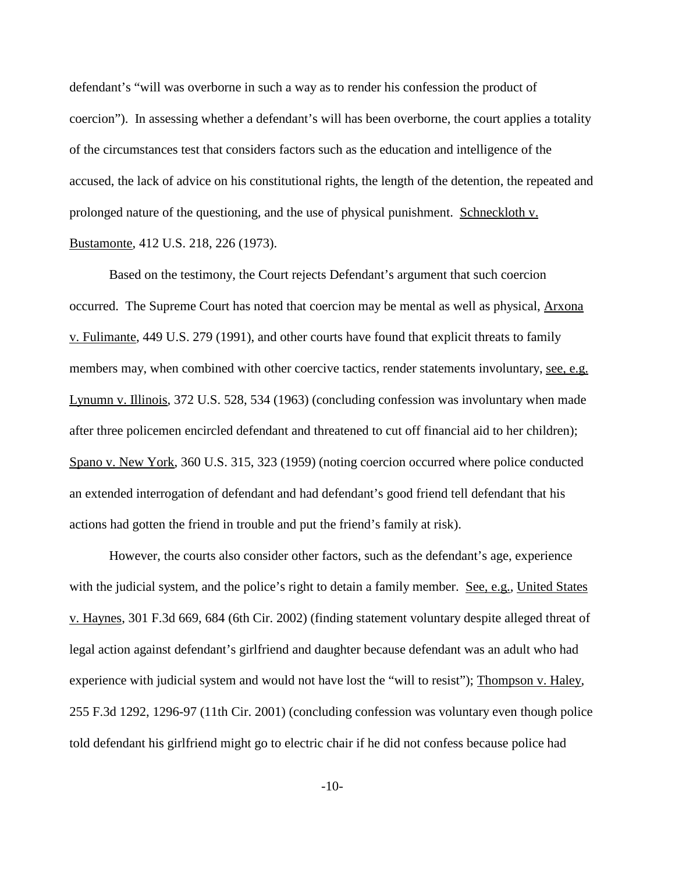defendant's "will was overborne in such a way as to render his confession the product of coercion"). In assessing whether a defendant's will has been overborne, the court applies a totality of the circumstances test that considers factors such as the education and intelligence of the accused, the lack of advice on his constitutional rights, the length of the detention, the repeated and prolonged nature of the questioning, and the use of physical punishment. Schneckloth v. Bustamonte, 412 U.S. 218, 226 (1973).

Based on the testimony, the Court rejects Defendant's argument that such coercion occurred. The Supreme Court has noted that coercion may be mental as well as physical, Arxona v. Fulimante, 449 U.S. 279 (1991), and other courts have found that explicit threats to family members may, when combined with other coercive tactics, render statements involuntary, see, e.g. Lynumn v. Illinois, 372 U.S. 528, 534 (1963) (concluding confession was involuntary when made after three policemen encircled defendant and threatened to cut off financial aid to her children); Spano v. New York, 360 U.S. 315, 323 (1959) (noting coercion occurred where police conducted an extended interrogation of defendant and had defendant's good friend tell defendant that his actions had gotten the friend in trouble and put the friend's family at risk).

However, the courts also consider other factors, such as the defendant's age, experience with the judicial system, and the police's right to detain a family member. <u>See, e.g.</u>, United States v. Haynes, 301 F.3d 669, 684 (6th Cir. 2002) (finding statement voluntary despite alleged threat of legal action against defendant's girlfriend and daughter because defendant was an adult who had experience with judicial system and would not have lost the "will to resist"); Thompson v. Haley, 255 F.3d 1292, 1296-97 (11th Cir. 2001) (concluding confession was voluntary even though police told defendant his girlfriend might go to electric chair if he did not confess because police had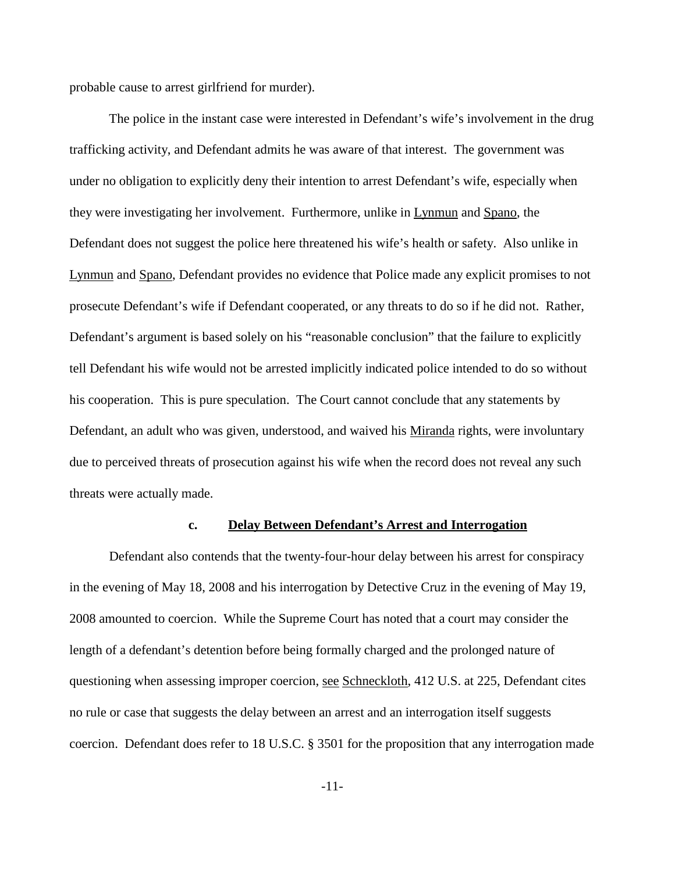probable cause to arrest girlfriend for murder).

The police in the instant case were interested in Defendant's wife's involvement in the drug trafficking activity, and Defendant admits he was aware of that interest. The government was under no obligation to explicitly deny their intention to arrest Defendant's wife, especially when they were investigating her involvement. Furthermore, unlike in Lynmun and Spano, the Defendant does not suggest the police here threatened his wife's health or safety. Also unlike in Lynmun and Spano, Defendant provides no evidence that Police made any explicit promises to not prosecute Defendant's wife if Defendant cooperated, or any threats to do so if he did not. Rather, Defendant's argument is based solely on his "reasonable conclusion" that the failure to explicitly tell Defendant his wife would not be arrested implicitly indicated police intended to do so without his cooperation. This is pure speculation. The Court cannot conclude that any statements by Defendant, an adult who was given, understood, and waived his Miranda rights, were involuntary due to perceived threats of prosecution against his wife when the record does not reveal any such threats were actually made.

### **c. Delay Between Defendant's Arrest and Interrogation**

Defendant also contends that the twenty-four-hour delay between his arrest for conspiracy in the evening of May 18, 2008 and his interrogation by Detective Cruz in the evening of May 19, 2008 amounted to coercion. While the Supreme Court has noted that a court may consider the length of a defendant's detention before being formally charged and the prolonged nature of questioning when assessing improper coercion, see Schneckloth, 412 U.S. at 225, Defendant cites no rule or case that suggests the delay between an arrest and an interrogation itself suggests coercion. Defendant does refer to 18 U.S.C. § 3501 for the proposition that any interrogation made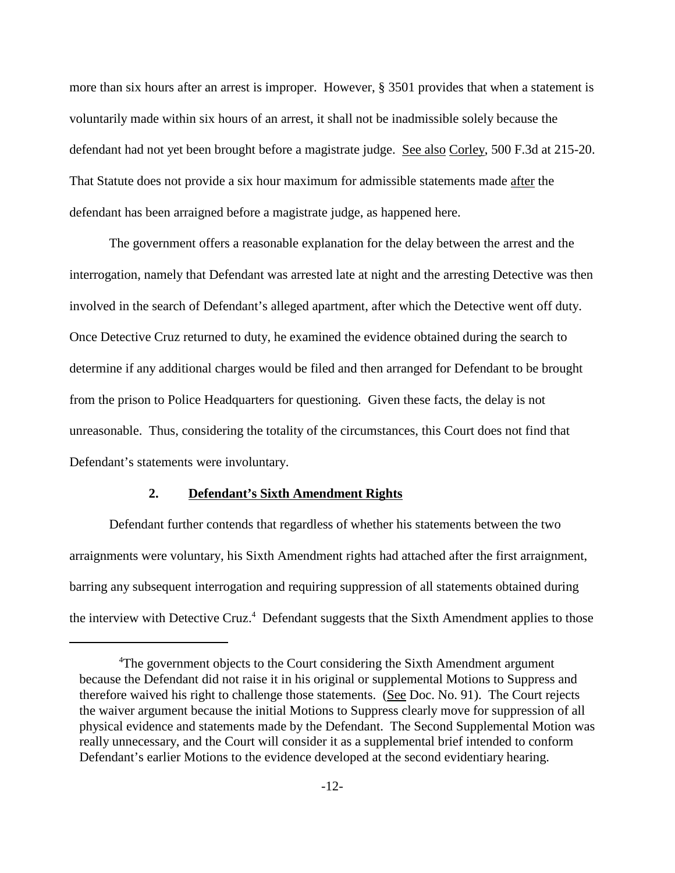more than six hours after an arrest is improper. However, § 3501 provides that when a statement is voluntarily made within six hours of an arrest, it shall not be inadmissible solely because the defendant had not yet been brought before a magistrate judge. See also Corley, 500 F.3d at 215-20. That Statute does not provide a six hour maximum for admissible statements made after the defendant has been arraigned before a magistrate judge, as happened here.

The government offers a reasonable explanation for the delay between the arrest and the interrogation, namely that Defendant was arrested late at night and the arresting Detective was then involved in the search of Defendant's alleged apartment, after which the Detective went off duty. Once Detective Cruz returned to duty, he examined the evidence obtained during the search to determine if any additional charges would be filed and then arranged for Defendant to be brought from the prison to Police Headquarters for questioning. Given these facts, the delay is not unreasonable. Thus, considering the totality of the circumstances, this Court does not find that Defendant's statements were involuntary.

## **2. Defendant's Sixth Amendment Rights**

Defendant further contends that regardless of whether his statements between the two arraignments were voluntary, his Sixth Amendment rights had attached after the first arraignment, barring any subsequent interrogation and requiring suppression of all statements obtained during the interview with Detective Cruz.<sup>4</sup> Defendant suggests that the Sixth Amendment applies to those

<sup>&</sup>lt;sup>4</sup>The government objects to the Court considering the Sixth Amendment argument because the Defendant did not raise it in his original or supplemental Motions to Suppress and therefore waived his right to challenge those statements. (See Doc. No. 91). The Court rejects the waiver argument because the initial Motions to Suppress clearly move for suppression of all physical evidence and statements made by the Defendant. The Second Supplemental Motion was really unnecessary, and the Court will consider it as a supplemental brief intended to conform Defendant's earlier Motions to the evidence developed at the second evidentiary hearing.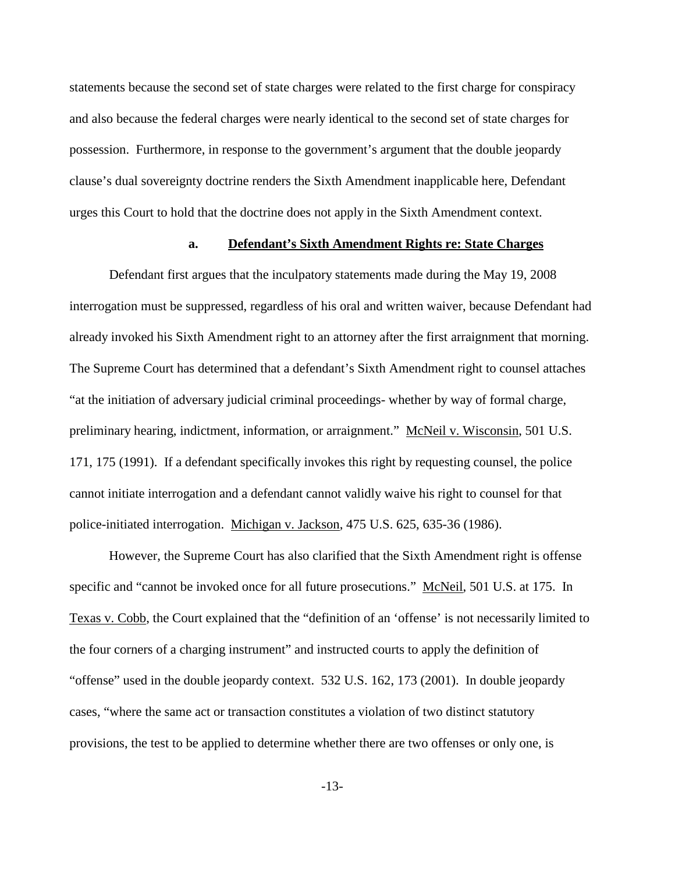statements because the second set of state charges were related to the first charge for conspiracy and also because the federal charges were nearly identical to the second set of state charges for possession. Furthermore, in response to the government's argument that the double jeopardy clause's dual sovereignty doctrine renders the Sixth Amendment inapplicable here, Defendant urges this Court to hold that the doctrine does not apply in the Sixth Amendment context.

## **a. Defendant's Sixth Amendment Rights re: State Charges**

Defendant first argues that the inculpatory statements made during the May 19, 2008 interrogation must be suppressed, regardless of his oral and written waiver, because Defendant had already invoked his Sixth Amendment right to an attorney after the first arraignment that morning. The Supreme Court has determined that a defendant's Sixth Amendment right to counsel attaches "at the initiation of adversary judicial criminal proceedings- whether by way of formal charge, preliminary hearing, indictment, information, or arraignment." McNeil v. Wisconsin, 501 U.S. 171, 175 (1991). If a defendant specifically invokes this right by requesting counsel, the police cannot initiate interrogation and a defendant cannot validly waive his right to counsel for that police-initiated interrogation. Michigan v. Jackson, 475 U.S. 625, 635-36 (1986).

However, the Supreme Court has also clarified that the Sixth Amendment right is offense specific and "cannot be invoked once for all future prosecutions." McNeil, 501 U.S. at 175. In Texas v. Cobb, the Court explained that the "definition of an 'offense' is not necessarily limited to the four corners of a charging instrument" and instructed courts to apply the definition of "offense" used in the double jeopardy context. 532 U.S. 162, 173 (2001). In double jeopardy cases, "where the same act or transaction constitutes a violation of two distinct statutory provisions, the test to be applied to determine whether there are two offenses or only one, is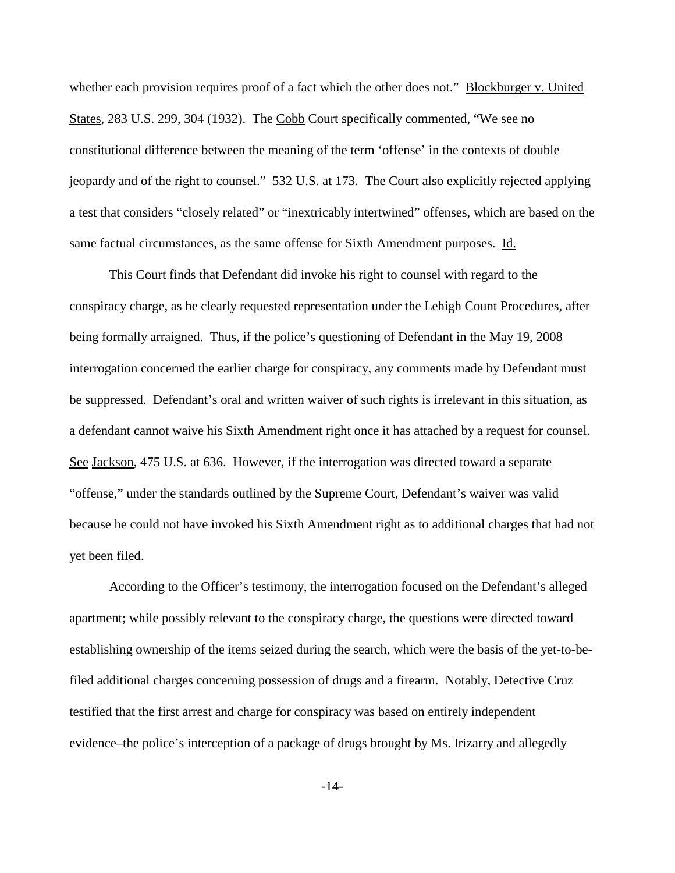whether each provision requires proof of a fact which the other does not." Blockburger v. United States, 283 U.S. 299, 304 (1932). The Cobb Court specifically commented, "We see no constitutional difference between the meaning of the term 'offense' in the contexts of double jeopardy and of the right to counsel." 532 U.S. at 173. The Court also explicitly rejected applying a test that considers "closely related" or "inextricably intertwined" offenses, which are based on the same factual circumstances, as the same offense for Sixth Amendment purposes. Id.

This Court finds that Defendant did invoke his right to counsel with regard to the conspiracy charge, as he clearly requested representation under the Lehigh Count Procedures, after being formally arraigned. Thus, if the police's questioning of Defendant in the May 19, 2008 interrogation concerned the earlier charge for conspiracy, any comments made by Defendant must be suppressed. Defendant's oral and written waiver of such rights is irrelevant in this situation, as a defendant cannot waive his Sixth Amendment right once it has attached by a request for counsel. See Jackson, 475 U.S. at 636. However, if the interrogation was directed toward a separate "offense," under the standards outlined by the Supreme Court, Defendant's waiver was valid because he could not have invoked his Sixth Amendment right as to additional charges that had not yet been filed.

According to the Officer's testimony, the interrogation focused on the Defendant's alleged apartment; while possibly relevant to the conspiracy charge, the questions were directed toward establishing ownership of the items seized during the search, which were the basis of the yet-to-befiled additional charges concerning possession of drugs and a firearm. Notably, Detective Cruz testified that the first arrest and charge for conspiracy was based on entirely independent evidence–the police's interception of a package of drugs brought by Ms. Irizarry and allegedly

-14-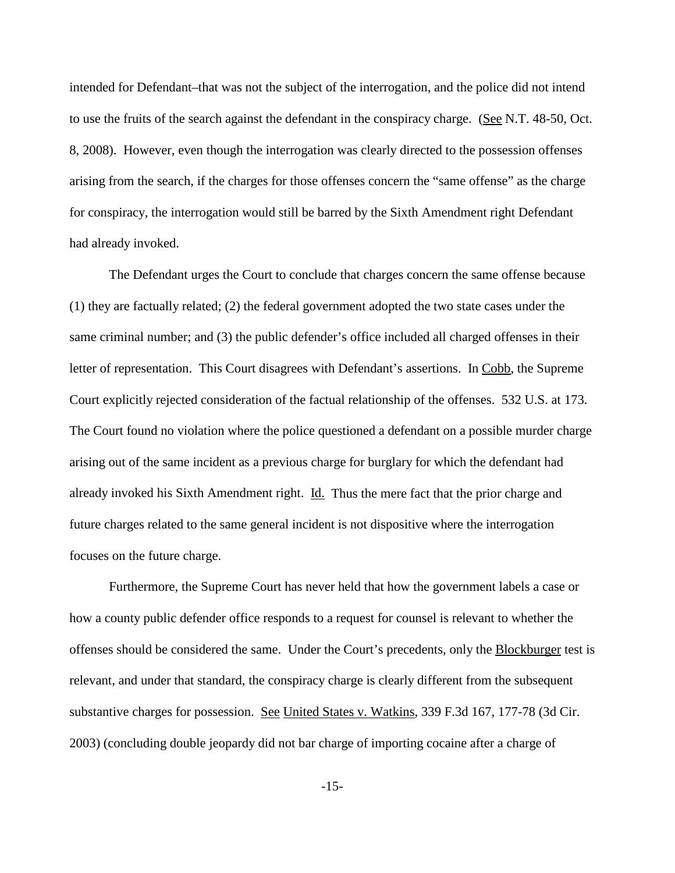intended for Defendant–that was not the subject of the interrogation, and the police did not intend to use the fruits of the search against the defendant in the conspiracy charge. (See N.T. 48-50, Oct. 8, 2008). However, even though the interrogation was clearly directed to the possession offenses arising from the search, if the charges for those offenses concern the "same offense" as the charge for conspiracy, the interrogation would still be barred by the Sixth Amendment right Defendant had already invoked.

The Defendant urges the Court to conclude that charges concern the same offense because (1) they are factually related; (2) the federal government adopted the two state cases under the same criminal number; and (3) the public defender's office included all charged offenses in their letter of representation. This Court disagrees with Defendant's assertions. In Cobb, the Supreme Court explicitly rejected consideration of the factual relationship of the offenses. 532 U.S. at 173. The Court found no violation where the police questioned a defendant on a possible murder charge arising out of the same incident as a previous charge for burglary for which the defendant had already invoked his Sixth Amendment right. Id. Thus the mere fact that the prior charge and future charges related to the same general incident is not dispositive where the interrogation focuses on the future charge.

Furthermore, the Supreme Court has never held that how the government labels a case or how a county public defender office responds to a request for counsel is relevant to whether the offenses should be considered the same. Under the Court's precedents, only the Blockburger test is relevant, and under that standard, the conspiracy charge is clearly different from the subsequent substantive charges for possession. See United States v. Watkins, 339 F.3d 167, 177-78 (3d Cir. 2003) (concluding double jeopardy did not bar charge of importing cocaine after a charge of

-15-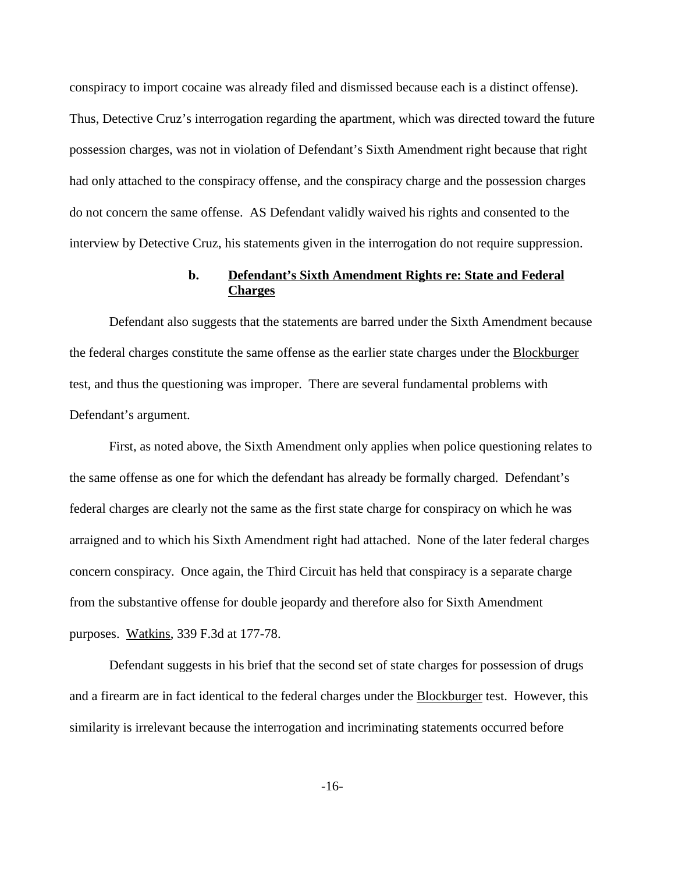conspiracy to import cocaine was already filed and dismissed because each is a distinct offense). Thus, Detective Cruz's interrogation regarding the apartment, which was directed toward the future possession charges, was not in violation of Defendant's Sixth Amendment right because that right had only attached to the conspiracy offense, and the conspiracy charge and the possession charges do not concern the same offense. AS Defendant validly waived his rights and consented to the interview by Detective Cruz, his statements given in the interrogation do not require suppression.

# **b. Defendant's Sixth Amendment Rights re: State and Federal Charges**

Defendant also suggests that the statements are barred under the Sixth Amendment because the federal charges constitute the same offense as the earlier state charges under the **Blockburger** test, and thus the questioning was improper. There are several fundamental problems with Defendant's argument.

First, as noted above, the Sixth Amendment only applies when police questioning relates to the same offense as one for which the defendant has already be formally charged. Defendant's federal charges are clearly not the same as the first state charge for conspiracy on which he was arraigned and to which his Sixth Amendment right had attached. None of the later federal charges concern conspiracy. Once again, the Third Circuit has held that conspiracy is a separate charge from the substantive offense for double jeopardy and therefore also for Sixth Amendment purposes. Watkins, 339 F.3d at 177-78.

Defendant suggests in his brief that the second set of state charges for possession of drugs and a firearm are in fact identical to the federal charges under the Blockburger test. However, this similarity is irrelevant because the interrogation and incriminating statements occurred before

-16-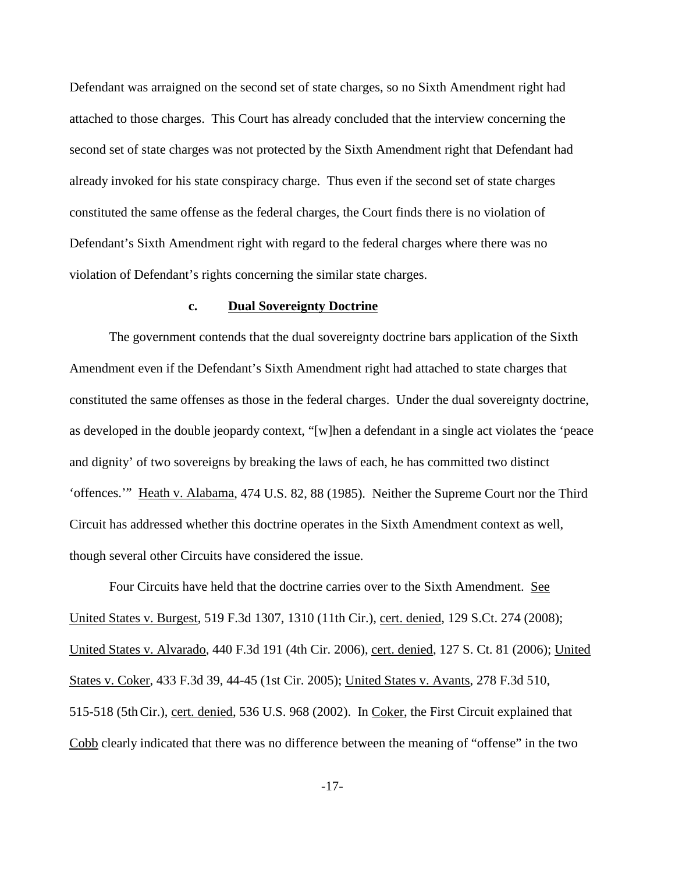Defendant was arraigned on the second set of state charges, so no Sixth Amendment right had attached to those charges. This Court has already concluded that the interview concerning the second set of state charges was not protected by the Sixth Amendment right that Defendant had already invoked for his state conspiracy charge. Thus even if the second set of state charges constituted the same offense as the federal charges, the Court finds there is no violation of Defendant's Sixth Amendment right with regard to the federal charges where there was no violation of Defendant's rights concerning the similar state charges.

### **c. Dual Sovereignty Doctrine**

The government contends that the dual sovereignty doctrine bars application of the Sixth Amendment even if the Defendant's Sixth Amendment right had attached to state charges that constituted the same offenses as those in the federal charges. Under the dual sovereignty doctrine, as developed in the double jeopardy context, "[w]hen a defendant in a single act violates the 'peace and dignity' of two sovereigns by breaking the laws of each, he has committed two distinct 'offences.'" Heath v. Alabama, 474 U.S. 82, 88 (1985). Neither the Supreme Court nor the Third Circuit has addressed whether this doctrine operates in the Sixth Amendment context as well, though several other Circuits have considered the issue.

Four Circuits have held that the doctrine carries over to the Sixth Amendment. See United States v. Burgest, 519 F.3d 1307, 1310 (11th Cir.), cert. denied, 129 S.Ct. 274 (2008); United States v. Alvarado, 440 F.3d 191 (4th Cir. 2006), cert. denied, 127 S. Ct. 81 (2006); United States v. Coker, 433 F.3d 39, 44-45 (1st Cir. 2005); United States v. Avants, 278 F.3d 510, 515-518 (5th Cir.), cert. denied, 536 U.S. 968 (2002). In Coker, the First Circuit explained that Cobb clearly indicated that there was no difference between the meaning of "offense" in the two

-17-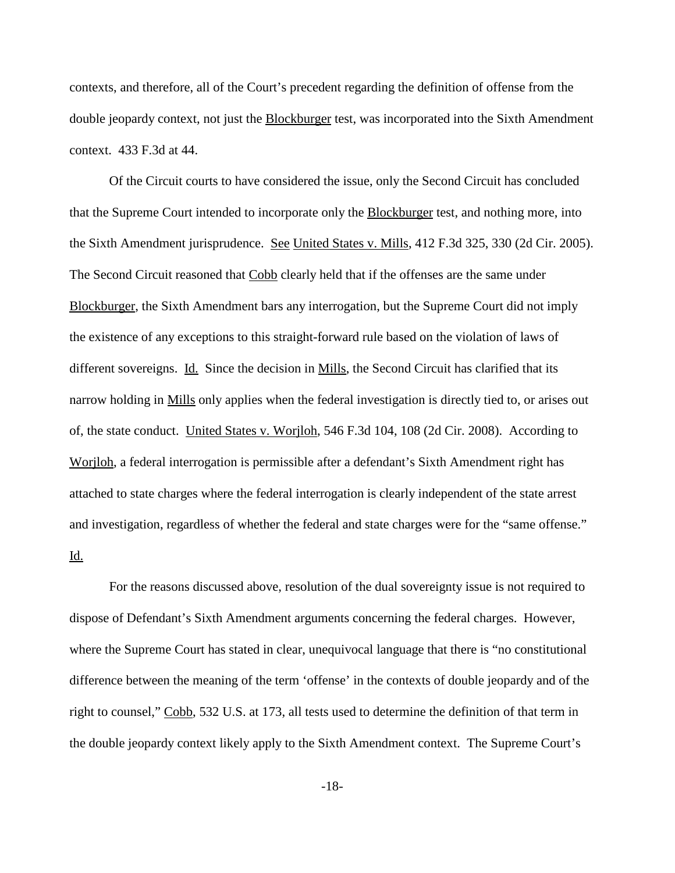contexts, and therefore, all of the Court's precedent regarding the definition of offense from the double jeopardy context, not just the Blockburger test, was incorporated into the Sixth Amendment context. 433 F.3d at 44.

Of the Circuit courts to have considered the issue, only the Second Circuit has concluded that the Supreme Court intended to incorporate only the Blockburger test, and nothing more, into the Sixth Amendment jurisprudence. See United States v. Mills, 412 F.3d 325, 330 (2d Cir. 2005). The Second Circuit reasoned that Cobb clearly held that if the offenses are the same under Blockburger, the Sixth Amendment bars any interrogation, but the Supreme Court did not imply the existence of any exceptions to this straight-forward rule based on the violation of laws of different sovereigns. Id. Since the decision in Mills, the Second Circuit has clarified that its narrow holding in Mills only applies when the federal investigation is directly tied to, or arises out of, the state conduct. United States v. Worjloh, 546 F.3d 104, 108 (2d Cir. 2008). According to Worjloh, a federal interrogation is permissible after a defendant's Sixth Amendment right has attached to state charges where the federal interrogation is clearly independent of the state arrest and investigation, regardless of whether the federal and state charges were for the "same offense." Id.

For the reasons discussed above, resolution of the dual sovereignty issue is not required to dispose of Defendant's Sixth Amendment arguments concerning the federal charges. However, where the Supreme Court has stated in clear, unequivocal language that there is "no constitutional difference between the meaning of the term 'offense' in the contexts of double jeopardy and of the right to counsel," Cobb, 532 U.S. at 173, all tests used to determine the definition of that term in the double jeopardy context likely apply to the Sixth Amendment context. The Supreme Court's

-18-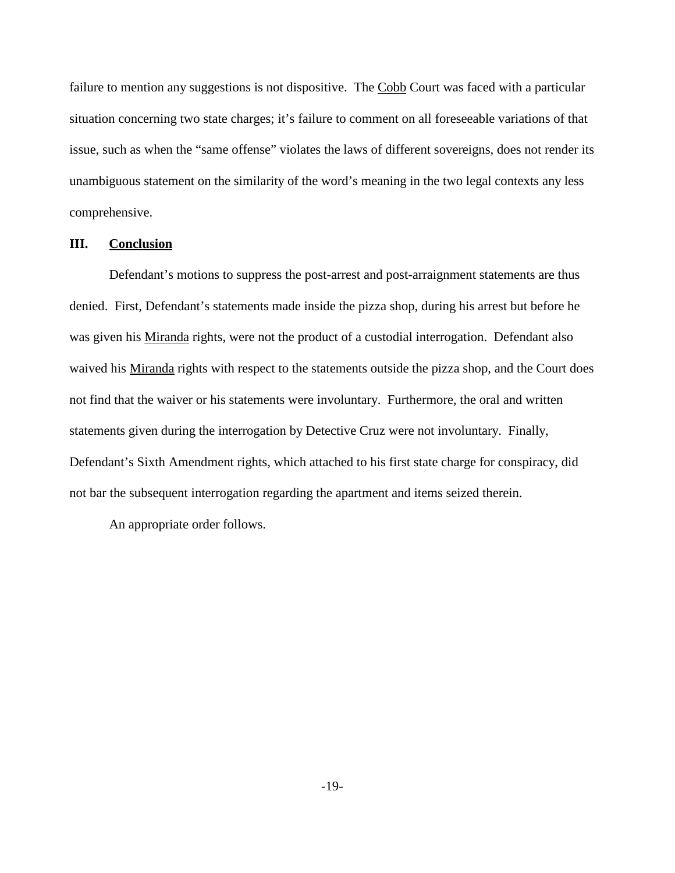failure to mention any suggestions is not dispositive. The Cobb Court was faced with a particular situation concerning two state charges; it's failure to comment on all foreseeable variations of that issue, such as when the "same offense" violates the laws of different sovereigns, does not render its unambiguous statement on the similarity of the word's meaning in the two legal contexts any less comprehensive.

## **III. Conclusion**

Defendant's motions to suppress the post-arrest and post-arraignment statements are thus denied. First, Defendant's statements made inside the pizza shop, during his arrest but before he was given his Miranda rights, were not the product of a custodial interrogation. Defendant also waived his Miranda rights with respect to the statements outside the pizza shop, and the Court does not find that the waiver or his statements were involuntary. Furthermore, the oral and written statements given during the interrogation by Detective Cruz were not involuntary. Finally, Defendant's Sixth Amendment rights, which attached to his first state charge for conspiracy, did not bar the subsequent interrogation regarding the apartment and items seized therein.

An appropriate order follows.